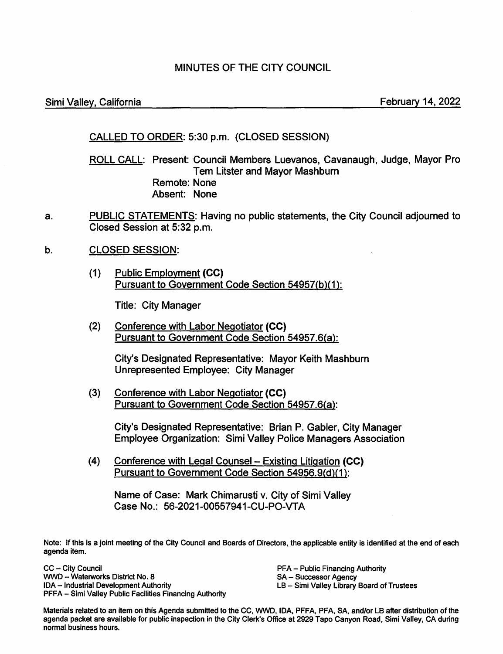# MINUTES OF THE CITY COUNCIL

### Simi Valley, California **February 14, 2022**

# CALLED TO ORDER: 5:30 p.m. (CLOSED SESSION)

ROLL CALL: Present: Council Members Luevanos, Cavanaugh, Judge, Mayor Pro **Tem Litster and Mayor Mashburn** Remote: None Absent: None

- a. PUBLIC STATEMENTS: Having no public statements, the City Council adjourned to Closed Session at 5:32 p.m.
- b. CLOSED SESSION:
	- (1) Public Employment **(CC)**  Pursuant to Government Code Section 54957(b)(1 ):

Title: City Manager

(2) Conference with Labor Negotiator **(CC)**  Pursuant to Government Code Section 54957.6(a):

> City's Designated Representative: Mayor Keith Mashburn Unrepresented Employee: City Manager

(3) Conference with Labor Negotiator **(CC)**  Pursuant to Government Code Section 54957.6(a):

> City's Designated Representative: Brian P. Gabler, City Manager Employee Organization: Simi Valley Police Managers Association

(4) Conference with Legal Counsel- Existing Litigation **(CC)**  Pursuant to Government Code Section 54956.9(d)(1):

Name of Case: Mark Chimarusti v. City of Simi Valley Case No.: 56-2021-00557941-CU-PO-VTA

Note: If this is a joint meeting of the City Council and Boards of Directors, the applicable entity is identified at the end of each agenda item.

CC - City Council WWD - Waterworks District No. 8 IDA - Industrial Development Authority PFFA - Simi Valley Public Facilities Financing Authority PFA - Public Financing Authority SA - Successor Agency LB - Simi Valley Library Board of Trustees

Materials related to an item on this Agenda submitted to the CC, WWD, IDA, PFFA, PFA, SA, and/or LB after distribution of the agenda packet are available for public inspection in the City Clerk's Office at 2929 Tapo Canyon Road, Simi Valley, CA during normal business hours.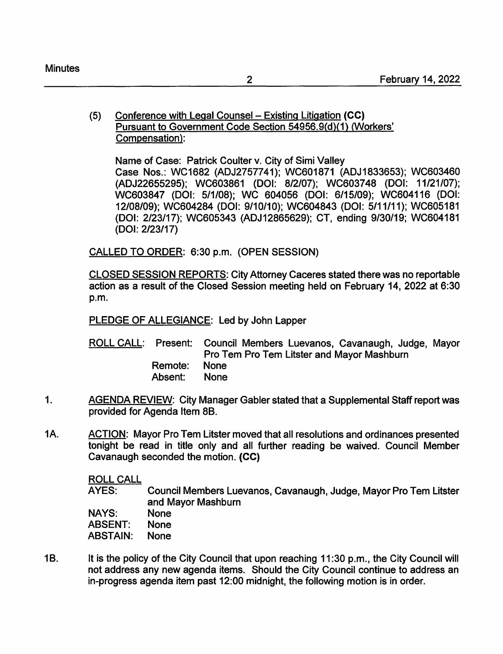# (5) Conference with Legal Counsel - Existing Litigation **(CC)**  Pursuant to Government Code Section 54956.9{d}(1) (Workers' Compensation):

Name of Case: Patrick Coulter v. City of Simi Valley Case Nos.: WC1682 (ADJ2757741); WC601871 (ADJ1833653); WC603460 (ADJ22655295); WC603861 (DOI: 8/2/07); WC603748 (DOI: 11/21/07); WC603847 (DOI: 5/1/08); WC 604056 (DOI: 6/15/09); WC604116 (DOI: 12/08/09); WC604284 (DOI: 9/10/10); WC604843 (DOI: 5/11/11); WC605181 (DOI: 2/23/17); WC605343 (ADJ12865629); CT, ending 9/30/19; WC604181 (DOI: 2/23/17)

CALLED TO ORDER: 6:30 p.m. (OPEN SESSION)

CLOSED SESSION REPORTS: City Attorney Caceres stated there was no reportable action as a result of the Closed Session meeting held on February 14, 2022 at 6:30 p.m.

PLEDGE OF ALLEGIANCE: Led by John Lapper

ROLL CALL: Present: Council Members Luevanos, Cavanaugh, Judge, Mayor Pro Tern Pro Tern Litster and Mayor Mashburn Remote: None Absent: None

- 1. AGENDA REVIEW: City Manager Gabler stated that a Supplemental Staff report was provided for Agenda Item 88.
- 1A. ACTION: Mayor Pro Tem Litster moved that all resolutions and ordinances presented tonight be read in title only and all further reading be waived. Council Member Cavanaugh seconded the motion. **(CC)**

ROLL CALL

AYES: Council Members Luevanos, Cavanaugh, Judge, Mayor Pro Tern Litster and Mayor Mashburn

**NAYS: ABSENT:**  None None

**ABSTAIN:**  None

1B. It is the policy of the City Council that upon reaching 11:30 p.m., the City Council will not address any new agenda items. Should the City Council continue to address an in-progress agenda item past 12:00 midnight, the following motion is in order.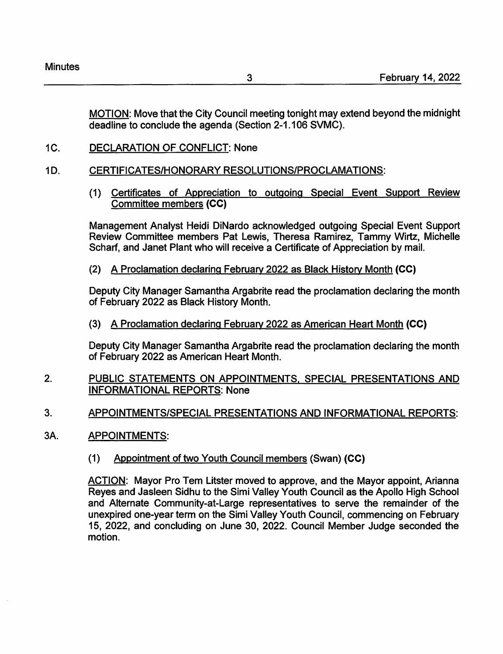MOTION: Move that the City Council meeting tonight may extend beyond the midnight deadline to conclude the agenda (Section 2-1.106 SVMC).

- 1C. DECLARATION OF CONFLICT: None
- 10. CERTIFICATES/HONORARY RESOLUTIONS/PROCLAMATIONS:
	- (1) Certificates of Appreciation to outgoing Special Event Support Review Committee members **(CC)**

Management Analyst Heidi DiNardo acknowledged outgoing Special Event Support Review Committee members Pat Lewis, Theresa Ramirez, Tammy Wirtz, Michelle Scharf, and Janet Plant who will receive a Certificate of Appreciation by mail.

(2) A Proclamation declaring February 2022 as Black History Month **(CC)** 

Deputy City Manager Samantha Argabrite read the proclamation declaring the month of February 2022 as Black History Month.

(3) A Proclamation declaring February 2022 as American Heart Month **(CC)** 

Deputy City Manager Samantha Argabrite read the proclamation declaring the month of February 2022 as American Heart Month.

- 2. PUBLIC STATEMENTS ON APPOINTMENTS, SPECIAL PRESENTATIONS AND INFORMATIONAL REPORTS: None
- 3. APPOINTMENTS/SPECIAL PRESENTATIONS AND INFORMATIONAL REPORTS:
- 3A. APPOINTMENTS:
	- (1) Appointment of two Youth Council members (Swan) **(CC)**

ACTION: Mayor Pro Tern Litster moved to approve, and the Mayor appoint, Arianna Reyes and Jasleen Sidhu to the Simi Valley Youth Council as the Apollo High School and Alternate Community-at-Large representatives to serve the remainder of the unexpired one-year term on the Simi Valley Youth Council, commencing on February 15, 2022, and concluding on June 30, 2022. Council Member Judge seconded the motion.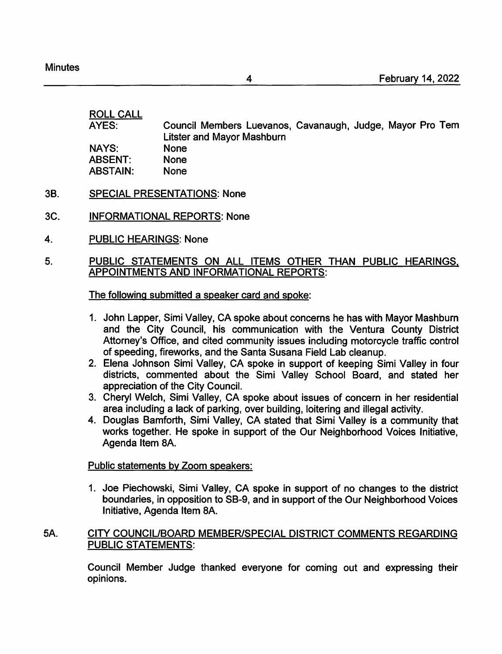ROLL CALL AYES: Council Members Luevanos, Cavanaugh, Judge, Mayor Pro Tern Litster and Mayor Mashburn NAYS: ABSENT: None ABSTAIN: None

- 38. SPECIAL PRESENTATIONS: None
- 3C. INFORMATIONAL REPORTS: None
- 4. PUBLIC HEARINGS: None

#### 5. PUBLIC STATEMENTS ON ALL ITEMS OTHER THAN PUBLIC HEARINGS, APPOINTMENTS AND INFORMATIONAL REPORTS:

#### The following submitted a speaker card and spoke:

- 1. John Lapper, Simi Valley, CA spoke about concerns he has with Mayor Mashburn and the City Council, his communication with the Ventura County District Attorney's Office, and cited community issues including motorcycle traffic control of speeding, fireworks, and the Santa Susana Field Lab cleanup.
- 2. Elena Johnson Simi Valley, CA spoke in support of keeping Simi Valley in four districts, commented about the Simi Valley School Board, and stated her appreciation of the City Council.
- 3. Cheryl Welch, Simi Valley, CA spoke about issues of concern in her residential area including a lack of parking, over building, loitering and illegal activity.
- 4. Douglas Bamforth, Simi Valley, CA stated that Simi Valley is a community that works together. He spoke in support of the Our Neighborhood Voices Initiative, Agenda Item 8A.

## Public statements by Zoom speakers:

1. Joe Piechowski, Simi Valley, CA spoke in support of no changes to the district boundaries, in opposition to SB-9, and in support of the Our Neighborhood Voices Initiative, Agenda Item 8A.

#### 5A. CITY COUNCIUBOARD MEMBER/SPECIAL DISTRICT COMMENTS REGARDING PUBLIC STATEMENTS:

Council Member Judge thanked everyone for coming out and expressing their opinions.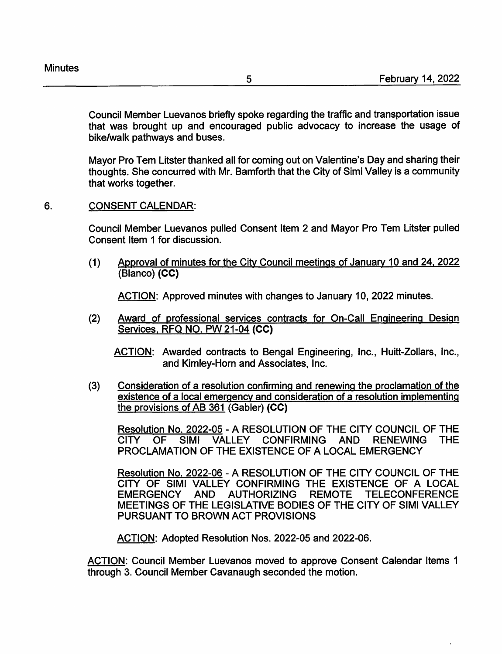Council Member Luevanos briefly spoke regarding the traffic and transportation issue that was brought up and encouraged public advocacy to increase the usage of bike/walk pathways and buses.

Mayor Pro Tem Litster thanked all for coming out on Valentine's Day and sharing their thoughts. She concurred with Mr. Bamforth that the City of Simi Valley is a community that works together.

## 6. CONSENT CALENDAR:

Council Member Luevanos pulled Consent Item 2 and Mayor Pro Tem Litster pulled Consent Item 1 for discussion.

(1) Approval of minutes for the City Council meetings of January 10 and 24. 2022 (Blanco) **(CC)** 

ACTION: Approved minutes with changes to January 10, 2022 minutes.

(2) Award of professional services contracts for On-Call Engineering Design Services, RFQ NO. PW 21-04 **(CC)** 

ACTION: Awarded contracts to Bengal Engineering, Inc., Huitt-Zollars, Inc., and Kimley-Horn and Associates, Inc.

(3) Consideration of a resolution confirming and renewing the proclamation of the existence of a local emergency and consideration of a resolution implementing the provisions of AB 361 (Gabler) **(CC)** 

Resolution No. 2022-05 - A RESOLUTION OF THE CITY COUNCIL OF THE CITY OF SIMI VALLEY CONFIRMING AND RENEWING THE PROCLAMATION OF THE EXISTENCE OF A LOCAL EMERGENCY

Resolution No. 2022-06 - A RESOLUTION OF THE CITY COUNCIL OF THE CITY OF SIMI VALLEY CONFIRMING THE EXISTENCE OF A LOCAL EMERGENCY AND AUTHORIZING REMOTE TELECONFERENCE MEETINGS OF THE LEGISLATIVE BODIES OF THE CITY OF SIMI VALLEY PURSUANT TO BROWN ACT PROVISIONS

ACTION: Adopted Resolution Nos. 2022-05 and 2022-06.

ACTION: Council Member Luevanos moved to approve Consent Calendar Items 1 through 3. Council Member Cavanaugh seconded the motion.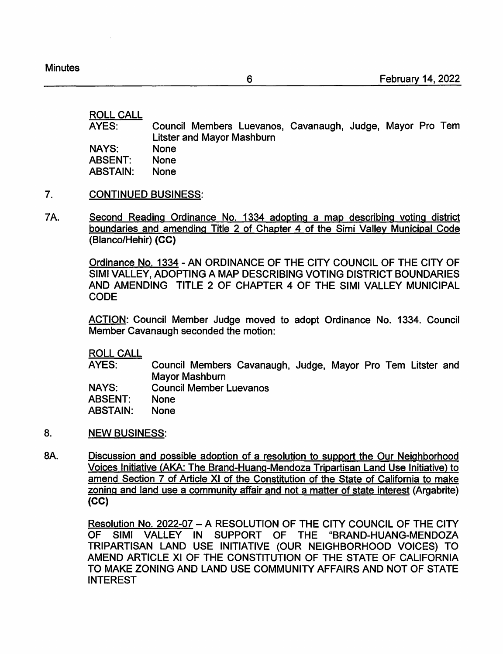**Minutes** 

ROLL CALL

AYES: NAYS: ABSENT: ABSTAIN: Council Members Luevanos, Cavanaugh, Judge, Mayor Pro Tern Litster and Mayor Mashburn None None None

- 7. CONTINUED BUSINESS:
- 7A. Second Reading Ordinance No. 1334 adopting a map describing voting district boundaries and amending Title 2 of Chapter 4 of the Simi Valley Municipal Code (Blanco/Hehir) **(CC)**

Ordinance No. 1334 -AN ORDINANCE OF THE CITY COUNCIL OF THE CITY OF SIMI VALLEY, ADOPTING A MAP DESCRIBING VOTING DISTRICT BOUNDARIES AND AMENDING TITLE 2 OF CHAPTER 4 OF THE SIMI VALLEY MUNICIPAL CODE

ACTION: Council Member Judge moved to adopt Ordinance No. 1334. Council Member Cavanaugh seconded the motion:

ROLL CALL

AYES: Council Members Cavanaugh, Judge, Mayor Pro Tem Litster and Mayor Mashburn

NAYS: Council Member Luevanos

ABSENT: None

ABSTAIN: None

- 8. NEW BUSINESS:
- *BA.*  Discussion and possible adoption of a resolution to support the Our Neighborhood Voices Initiative (AKA: The Brand-Huang-Mendoza Tripartisan Land Use Initiative) to amend Section 7 of Article XI of the Constitution of the State of California to make zoning and land use a community affair and not a matter of state interest (Argabrite) **(CC)**

Resolution No. 2022-07 - A RESOLUTION OF THE CITY COUNCIL OF THE CITY OF SIMI VALLEY IN SUPPORT OF THE "BRAND-HUANG-MENDOZA TRIPARTISAN LAND USE INITIATIVE (OUR NEIGHBORHOOD VOICES) TO AMEND ARTICLE XI OF THE CONSTITUTION OF THE STATE OF CALIFORNIA TO MAKE ZONING AND LAND USE COMMUNITY AFFAIRS AND NOT OF STATE INTEREST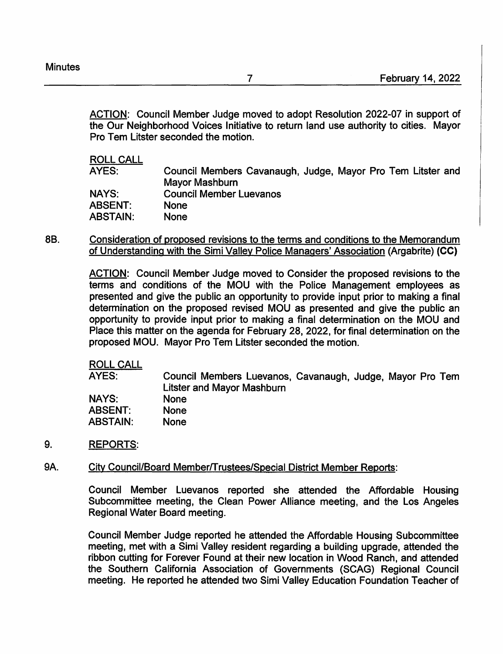ACTION: Council Member Judge moved to adopt Resolution 2022-07 in support of the Our Neighborhood Voices Initiative to return land use authority to cities. Mayor Pro Tem Litster seconded the motion.

ROLL CALL

| Council Members Cavanaugh, Judge, Mayor Pro Tem Litster and |
|-------------------------------------------------------------|
| Mayor Mashburn                                              |
| <b>Council Member Luevanos</b>                              |
| <b>None</b>                                                 |
| None                                                        |
|                                                             |

88. Consideration of proposed revisions to the terms and conditions to the Memorandum of Understanding with the Simi Valley Police Managers' Association (Argabrite) **(CC)** 

> ACTION: Council Member Judge moved to Consider the proposed revisions to the terms and conditions of the MOU with the Police Management employees as presented and give the public an opportunity to provide input prior to making a final determination on the proposed revised MOU as presented and give the public an opportunity to provide input prior to making a final determination on the MOU and Place this matter on the agenda for February 28, 2022, for final determination on the proposed MOU. Mayor Pro Tern Litster seconded the motion.

ROLL CALL

AYES: **NAYS: ABSENT: ABSTAIN:**  Council Members Luevanos, Cavanaugh, Judge, Mayor Pro Tern Litster and Mayor Mashburn None None None

9. REPORTS:

#### 9A. City Council/Board Member/Trustees/Special District Member Reports:

Council Member Luevanos reported she attended the Affordable Housing Subcommittee meeting, the Clean Power Alliance meeting, and the Los Angeles Regional Water Board meeting.

Council Member Judge reported he attended the Affordable Housing Subcommittee meeting, met with a Simi Valley resident regarding a building upgrade, attended the ribbon cutting for Forever Found at their new location in Wood Ranch, and attended the Southern California Association of Governments (SCAG) Regional Council meeting. He reported he attended two Simi Valley Education Foundation Teacher of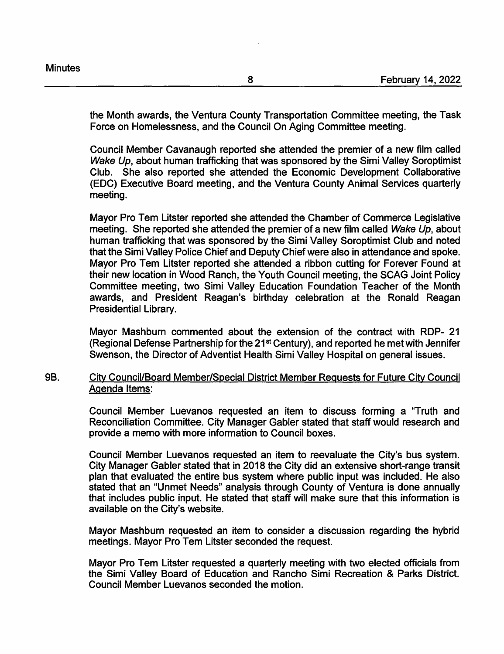the Month awards, the Ventura County Transportation Committee meeting, the Task Force on Homelessness, and the Council On Aging Committee meeting.

Council Member Cavanaugh reported she attended the premier of a new film called Wake Up, about human trafficking that was sponsored by the Simi Valley Soroptimist Club. She also reported she attended the Economic Development Collaborative (EDC) Executive Board meeting, and the Ventura County Animal Services quarterly meeting.

Mayor Pro Tem Litster reported she attended the Chamber of Commerce Legislative meeting. She reported she attended the premier of a new film called Wake Up, about human trafficking that was sponsored by the Simi Valley Soroptimist Club and noted that the Simi Valley Police Chief and Deputy Chief were also in attendance and spoke. Mayor Pro Tem Litster reported she attended a ribbon cutting for Forever Found at their new location in Wood Ranch, the Youth Council meeting, the SCAG Joint Policy Committee meeting, two Simi Valley Education Foundation Teacher of the Month awards, and President Reagan's birthday celebration at the Ronald Reagan Presidential Library.

Mayor Mashburn commented about the extension of the contract with RDP- 21 (Regional Defense Partnership for the 21st Century), and reported he met with Jennifer Swenson, the Director of Adventist Health Simi Valley Hospital on general issues.

# 9B. City Council/Board Member/Special District Member Requests for Future City Council Agenda Items:

Council Member Luevanos requested an item to discuss forming a "Truth and Reconciliation Committee. City Manager Gabler stated that staff would research and provide a memo with more information to Council boxes.

Council Member Luevanos requested an item to reevaluate the City's bus system. City Manager Gabler stated that in 2018 the City did an extensive short-range transit plan that evaluated the entire bus system where public input was included. He also stated that an "Unmet Needs" analysis through County of Ventura is done annually that includes public input. He stated that staff will make sure that this information is available on the City's website.

Mayor Mashburn requested an item to consider a discussion regarding the hybrid meetings. Mayor Pro Tem Litster seconded the request.

Mayor Pro Tem Litster requested a quarterly meeting with two elected officials from the Simi Valley Board of Education and Rancho Simi Recreation & Parks District. Council Member Luevanos seconded the motion.